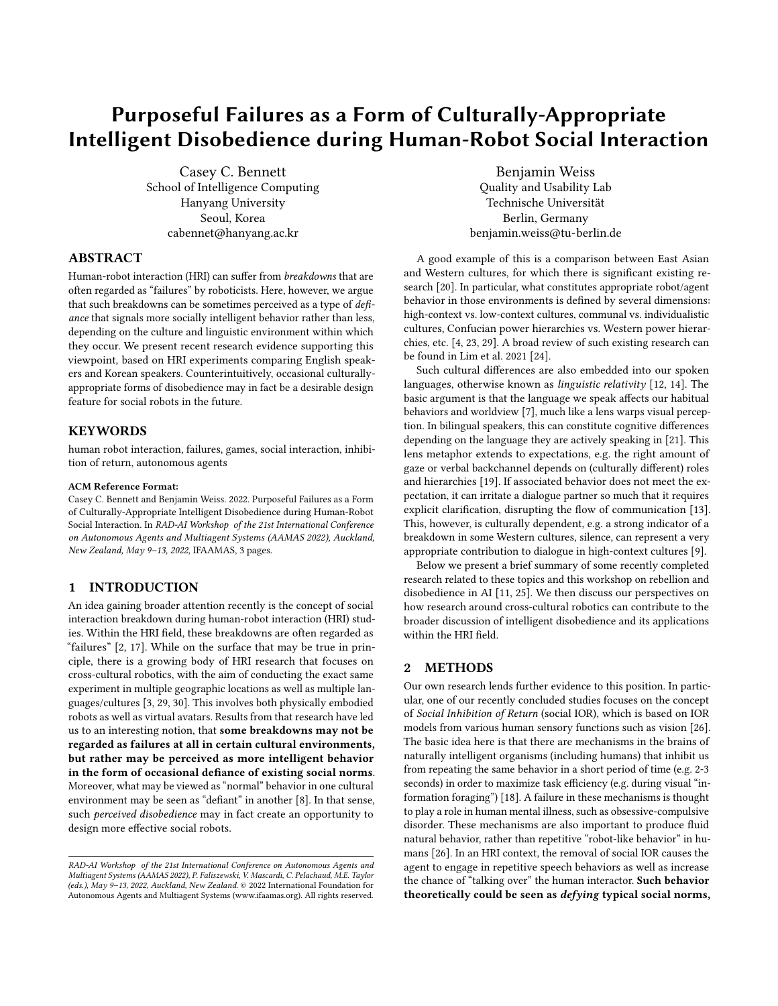# Purposeful Failures as a Form of Culturally-Appropriate Intelligent Disobedience during Human-Robot Social Interaction

Casey C. Bennett School of Intelligence Computing Hanyang University Seoul, Korea cabennet@hanyang.ac.kr

# ABSTRACT

Human-robot interaction (HRI) can suffer from breakdowns that are often regarded as "failures" by roboticists. Here, however, we argue that such breakdowns can be sometimes perceived as a type of defiance that signals more socially intelligent behavior rather than less, depending on the culture and linguistic environment within which they occur. We present recent research evidence supporting this viewpoint, based on HRI experiments comparing English speakers and Korean speakers. Counterintuitively, occasional culturallyappropriate forms of disobedience may in fact be a desirable design feature for social robots in the future.

#### **KEYWORDS**

human robot interaction, failures, games, social interaction, inhibition of return, autonomous agents

#### ACM Reference Format:

Casey C. Bennett and Benjamin Weiss. 2022. Purposeful Failures as a Form of Culturally-Appropriate Intelligent Disobedience during Human-Robot Social Interaction. In RAD-AI Workshop of the 21st International Conference on Autonomous Agents and Multiagent Systems (AAMAS 2022), Auckland, New Zealand, May 9–13, 2022, IFAAMAS, [3](#page-2-0) pages.

## 1 INTRODUCTION

An idea gaining broader attention recently is the concept of social interaction breakdown during human-robot interaction (HRI) studies. Within the HRI field, these breakdowns are often regarded as "failures" [\[2,](#page-2-1) [17\]](#page-2-2). While on the surface that may be true in principle, there is a growing body of HRI research that focuses on cross-cultural robotics, with the aim of conducting the exact same experiment in multiple geographic locations as well as multiple languages/cultures [\[3,](#page-2-3) [29,](#page-2-4) [30\]](#page-2-5). This involves both physically embodied robots as well as virtual avatars. Results from that research have led us to an interesting notion, that some breakdowns may not be regarded as failures at all in certain cultural environments, but rather may be perceived as more intelligent behavior in the form of occasional defiance of existing social norms. Moreover, what may be viewed as "normal" behavior in one cultural environment may be seen as "defiant" in another [\[8\]](#page-2-6). In that sense, such perceived disobedience may in fact create an opportunity to design more effective social robots.

Benjamin Weiss Quality and Usability Lab Technische Universität Berlin, Germany benjamin.weiss@tu-berlin.de

A good example of this is a comparison between East Asian and Western cultures, for which there is significant existing research [\[20\]](#page-2-7). In particular, what constitutes appropriate robot/agent behavior in those environments is defined by several dimensions: high-context vs. low-context cultures, communal vs. individualistic cultures, Confucian power hierarchies vs. Western power hierarchies, etc. [\[4,](#page-2-8) [23,](#page-2-9) [29\]](#page-2-4). A broad review of such existing research can be found in Lim et al. 2021 [\[24\]](#page-2-10).

Such cultural differences are also embedded into our spoken languages, otherwise known as linguistic relativity [\[12,](#page-2-11) [14\]](#page-2-12). The basic argument is that the language we speak affects our habitual behaviors and worldview [\[7\]](#page-2-13), much like a lens warps visual perception. In bilingual speakers, this can constitute cognitive differences depending on the language they are actively speaking in [\[21\]](#page-2-14). This lens metaphor extends to expectations, e.g. the right amount of gaze or verbal backchannel depends on (culturally different) roles and hierarchies [\[19\]](#page-2-15). If associated behavior does not meet the expectation, it can irritate a dialogue partner so much that it requires explicit clarification, disrupting the flow of communication [\[13\]](#page-2-16). This, however, is culturally dependent, e.g. a strong indicator of a breakdown in some Western cultures, silence, can represent a very appropriate contribution to dialogue in high-context cultures [\[9\]](#page-2-17).

Below we present a brief summary of some recently completed research related to these topics and this workshop on rebellion and disobedience in AI [\[11,](#page-2-18) [25\]](#page-2-19). We then discuss our perspectives on how research around cross-cultural robotics can contribute to the broader discussion of intelligent disobedience and its applications within the HRI field.

### 2 METHODS

Our own research lends further evidence to this position. In particular, one of our recently concluded studies focuses on the concept of Social Inhibition of Return (social IOR), which is based on IOR models from various human sensory functions such as vision [\[26\]](#page-2-20). The basic idea here is that there are mechanisms in the brains of naturally intelligent organisms (including humans) that inhibit us from repeating the same behavior in a short period of time (e.g. 2-3 seconds) in order to maximize task efficiency (e.g. during visual "information foraging") [\[18\]](#page-2-21). A failure in these mechanisms is thought to play a role in human mental illness, such as obsessive-compulsive disorder. These mechanisms are also important to produce fluid natural behavior, rather than repetitive "robot-like behavior" in humans [\[26\]](#page-2-20). In an HRI context, the removal of social IOR causes the agent to engage in repetitive speech behaviors as well as increase the chance of "talking over" the human interactor. Such behavior theoretically could be seen as defying typical social norms,

RAD-AI Workshop of the 21st International Conference on Autonomous Agents and Multiagent Systems (AAMAS 2022), P. Faliszewski, V. Mascardi, C. Pelachaud, M.E. Taylor (eds.), May 9–13, 2022, Auckland, New Zealand. © 2022 International Foundation for Autonomous Agents and Multiagent Systems (www.ifaamas.org). All rights reserved.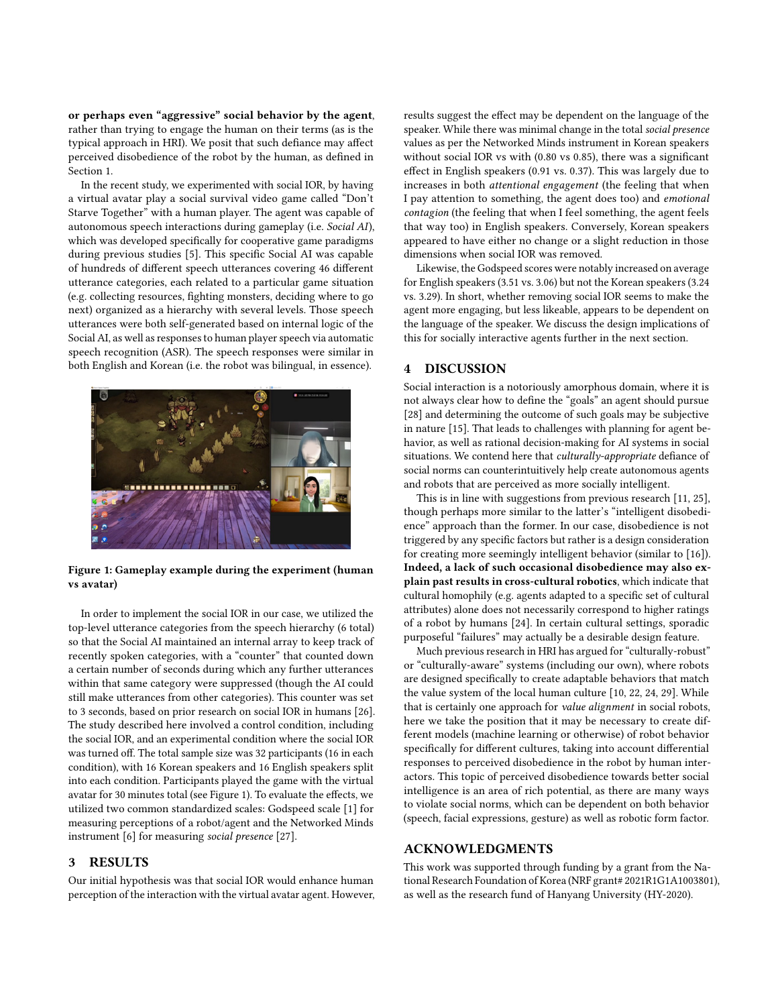or perhaps even "aggressive" social behavior by the agent, rather than trying to engage the human on their terms (as is the typical approach in HRI). We posit that such defiance may affect perceived disobedience of the robot by the human, as defined in Section 1.

In the recent study, we experimented with social IOR, by having a virtual avatar play a social survival video game called "Don't Starve Together" with a human player. The agent was capable of autonomous speech interactions during gameplay (i.e. Social AI), which was developed specifically for cooperative game paradigms during previous studies [\[5\]](#page-2-22). This specific Social AI was capable of hundreds of different speech utterances covering 46 different utterance categories, each related to a particular game situation (e.g. collecting resources, fighting monsters, deciding where to go next) organized as a hierarchy with several levels. Those speech utterances were both self-generated based on internal logic of the Social AI, as well as responses to human player speech via automatic speech recognition (ASR). The speech responses were similar in both English and Korean (i.e. the robot was bilingual, in essence).

<span id="page-1-0"></span>

Figure 1: Gameplay example during the experiment (human vs avatar)

In order to implement the social IOR in our case, we utilized the top-level utterance categories from the speech hierarchy (6 total) so that the Social AI maintained an internal array to keep track of recently spoken categories, with a "counter" that counted down a certain number of seconds during which any further utterances within that same category were suppressed (though the AI could still make utterances from other categories). This counter was set to 3 seconds, based on prior research on social IOR in humans [\[26\]](#page-2-20). The study described here involved a control condition, including the social IOR, and an experimental condition where the social IOR was turned off. The total sample size was 32 participants (16 in each condition), with 16 Korean speakers and 16 English speakers split into each condition. Participants played the game with the virtual avatar for 30 minutes total (see Figure [1\)](#page-1-0). To evaluate the effects, we utilized two common standardized scales: Godspeed scale [\[1\]](#page-2-23) for measuring perceptions of a robot/agent and the Networked Minds instrument [\[6\]](#page-2-24) for measuring social presence [\[27\]](#page-2-25).

## 3 RESULTS

Our initial hypothesis was that social IOR would enhance human perception of the interaction with the virtual avatar agent. However, results suggest the effect may be dependent on the language of the speaker. While there was minimal change in the total social presence values as per the Networked Minds instrument in Korean speakers without social IOR vs with (0.80 vs 0.85), there was a significant effect in English speakers (0.91 vs. 0.37). This was largely due to increases in both attentional engagement (the feeling that when I pay attention to something, the agent does too) and emotional contagion (the feeling that when I feel something, the agent feels that way too) in English speakers. Conversely, Korean speakers appeared to have either no change or a slight reduction in those dimensions when social IOR was removed.

Likewise, the Godspeed scores were notably increased on average for English speakers (3.51 vs. 3.06) but not the Korean speakers (3.24 vs. 3.29). In short, whether removing social IOR seems to make the agent more engaging, but less likeable, appears to be dependent on the language of the speaker. We discuss the design implications of this for socially interactive agents further in the next section.

### 4 DISCUSSION

Social interaction is a notoriously amorphous domain, where it is not always clear how to define the "goals" an agent should pursue [\[28\]](#page-2-26) and determining the outcome of such goals may be subjective in nature [\[15\]](#page-2-27). That leads to challenges with planning for agent behavior, as well as rational decision-making for AI systems in social situations. We contend here that *culturally-appropriate* defiance of social norms can counterintuitively help create autonomous agents and robots that are perceived as more socially intelligent.

This is in line with suggestions from previous research [\[11,](#page-2-18) [25\]](#page-2-19), though perhaps more similar to the latter's "intelligent disobedience" approach than the former. In our case, disobedience is not triggered by any specific factors but rather is a design consideration for creating more seemingly intelligent behavior (similar to [\[16\]](#page-2-28)). Indeed, a lack of such occasional disobedience may also explain past results in cross-cultural robotics, which indicate that cultural homophily (e.g. agents adapted to a specific set of cultural attributes) alone does not necessarily correspond to higher ratings of a robot by humans [\[24\]](#page-2-10). In certain cultural settings, sporadic purposeful "failures" may actually be a desirable design feature.

Much previous research in HRI has argued for "culturally-robust" or "culturally-aware" systems (including our own), where robots are designed specifically to create adaptable behaviors that match the value system of the local human culture [\[10,](#page-2-29) [22,](#page-2-30) [24,](#page-2-10) [29\]](#page-2-4). While that is certainly one approach for value alignment in social robots, here we take the position that it may be necessary to create different models (machine learning or otherwise) of robot behavior specifically for different cultures, taking into account differential responses to perceived disobedience in the robot by human interactors. This topic of perceived disobedience towards better social intelligence is an area of rich potential, as there are many ways to violate social norms, which can be dependent on both behavior (speech, facial expressions, gesture) as well as robotic form factor.

#### ACKNOWLEDGMENTS

This work was supported through funding by a grant from the National Research Foundation of Korea (NRF grant# 2021R1G1A1003801), as well as the research fund of Hanyang University (HY-2020).